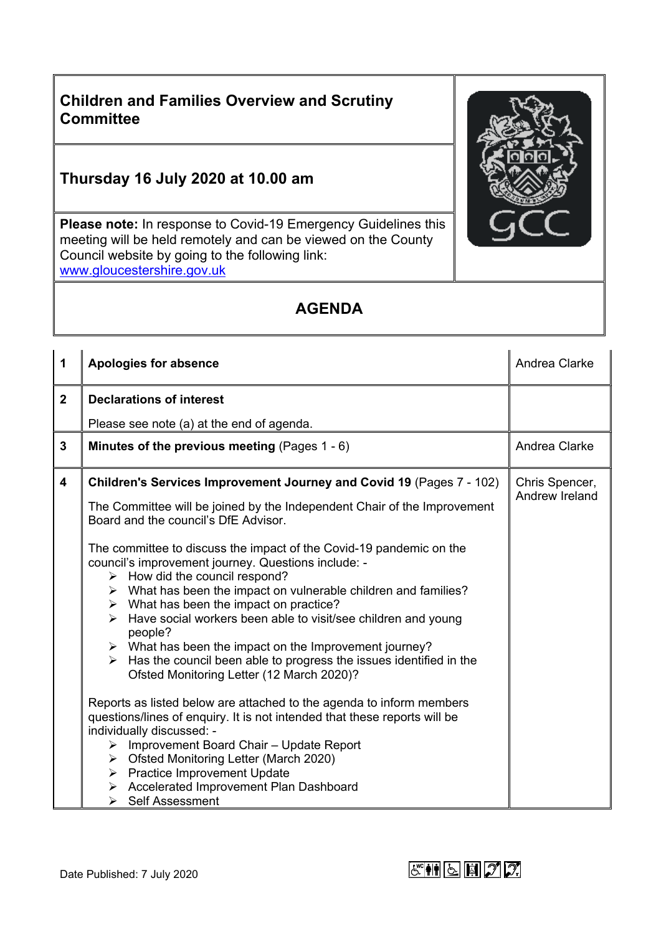## **Children and Families Overview and Scrutiny Committee**

## **Thursday 16 July 2020 at 10.00 am**

**Please note:** In response to Covid-19 Emergency Guidelines this meeting will be held remotely and can be viewed on the County Council website by going to the following link: [www.gloucestershire.gov.uk](http://www.gloucestershire.gov.uk/)

## **AGENDA**

| $\mathbf 1$             | <b>Apologies for absence</b>                                                                                                                                                                                                                                                                                                                                                                                                                                                                                                                                                                                                                                                                                                                                                                                                                                                                                                                                                                                                                                                                                                                                                                                                                                              | Andrea Clarke                    |
|-------------------------|---------------------------------------------------------------------------------------------------------------------------------------------------------------------------------------------------------------------------------------------------------------------------------------------------------------------------------------------------------------------------------------------------------------------------------------------------------------------------------------------------------------------------------------------------------------------------------------------------------------------------------------------------------------------------------------------------------------------------------------------------------------------------------------------------------------------------------------------------------------------------------------------------------------------------------------------------------------------------------------------------------------------------------------------------------------------------------------------------------------------------------------------------------------------------------------------------------------------------------------------------------------------------|----------------------------------|
| $\overline{2}$          | <b>Declarations of interest</b>                                                                                                                                                                                                                                                                                                                                                                                                                                                                                                                                                                                                                                                                                                                                                                                                                                                                                                                                                                                                                                                                                                                                                                                                                                           |                                  |
|                         | Please see note (a) at the end of agenda.                                                                                                                                                                                                                                                                                                                                                                                                                                                                                                                                                                                                                                                                                                                                                                                                                                                                                                                                                                                                                                                                                                                                                                                                                                 |                                  |
| $\mathbf{3}$            | Minutes of the previous meeting (Pages $1 - 6$ )                                                                                                                                                                                                                                                                                                                                                                                                                                                                                                                                                                                                                                                                                                                                                                                                                                                                                                                                                                                                                                                                                                                                                                                                                          | Andrea Clarke                    |
| $\overline{\mathbf{4}}$ | Children's Services Improvement Journey and Covid 19 (Pages 7 - 102)<br>The Committee will be joined by the Independent Chair of the Improvement<br>Board and the council's DfE Advisor.<br>The committee to discuss the impact of the Covid-19 pandemic on the<br>council's improvement journey. Questions include: -<br>$\triangleright$ How did the council respond?<br>$\triangleright$ What has been the impact on vulnerable children and families?<br>$\triangleright$ What has been the impact on practice?<br>Have social workers been able to visit/see children and young<br>$\blacktriangleright$<br>people?<br>$\triangleright$ What has been the impact on the Improvement journey?<br>Has the council been able to progress the issues identified in the<br>$\blacktriangleright$<br>Ofsted Monitoring Letter (12 March 2020)?<br>Reports as listed below are attached to the agenda to inform members<br>questions/lines of enquiry. It is not intended that these reports will be<br>individually discussed: -<br>Improvement Board Chair - Update Report<br>≻<br>$\triangleright$ Ofsted Monitoring Letter (March 2020)<br>$\triangleright$ Practice Improvement Update<br>> Accelerated Improvement Plan Dashboard<br>$\triangleright$ Self Assessment | Chris Spencer,<br>Andrew Ireland |